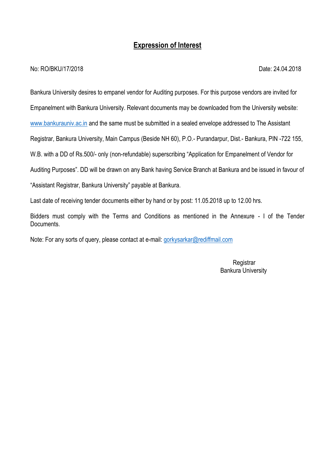# **Expression of Interest**

#### No: RO/BKU/17/2018 Date: 24.04.2018

Bankura University desires to empanel vendor for Auditing purposes. For this purpose vendors are invited for

Empanelment with Bankura University. Relevant documents may be downloaded from the University website:

[www.bankurauniv.ac.in](http://www.bankurauniv.ac.in/) and the same must be submitted in a sealed envelope addressed to The Assistant

Registrar, Bankura University, Main Campus (Beside NH 60), P.O.- Purandarpur, Dist.- Bankura, PIN -722 155,

W.B. with a DD of Rs.500/- only (non-refundable) superscribing "Application for Empanelment of Vendor for

Auditing Purposes". DD will be drawn on any Bank having Service Branch at Bankura and be issued in favour of

"Assistant Registrar, Bankura University" payable at Bankura.

Last date of receiving tender documents either by hand or by post: 11.05.2018 up to 12.00 hrs.

Bidders must comply with the Terms and Conditions as mentioned in the Annexure - I of the Tender Documents.

Note: For any sorts of query, please contact at e-mail: [gorkysarkar@rediffmail.com](mailto:gorkysarkar@rediffmail.com)

**Registrar** Bankura University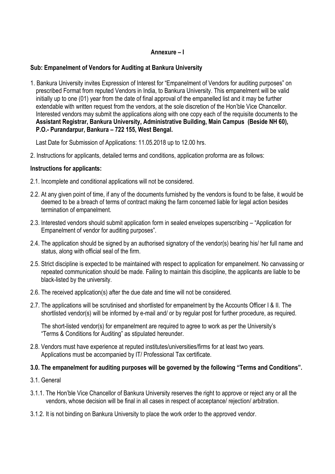## **Annexure – I**

## **Sub: Empanelment of Vendors for Auditing at Bankura University**

1. Bankura University invites Expression of Interest for "Empanelment of Vendors for auditing purposes" on prescribed Format from reputed Vendors in India, to Bankura University. This empanelment will be valid initially up to one (01) year from the date of final approval of the empanelled list and it may be further extendable with written request from the vendors, at the sole discretion of the Hon'ble Vice Chancellor. Interested vendors may submit the applications along with one copy each of the requisite documents to the **Assistant Registrar, Bankura University, Administrative Building, Main Campus (Beside NH 60), P.O.- Purandarpur, Bankura – 722 155, West Bengal.**

Last Date for Submission of Applications: 11.05.2018 up to 12.00 hrs.

2. Instructions for applicants, detailed terms and conditions, application proforma are as follows:

### **Instructions for applicants:**

- 2.1. Incomplete and conditional applications will not be considered.
- 2.2. At any given point of time, if any of the documents furnished by the vendors is found to be false, it would be deemed to be a breach of terms of contract making the farm concerned liable for legal action besides termination of empanelment.
- 2.3. Interested vendors should submit application form in sealed envelopes superscribing "Application for Empanelment of vendor for auditing purposes".
- 2.4. The application should be signed by an authorised signatory of the vendor(s) bearing his/ her full name and status, along with official seal of the firm.
- 2.5. Strict discipline is expected to be maintained with respect to application for empanelment. No canvassing or repeated communication should be made. Failing to maintain this discipline, the applicants are liable to be black-listed by the university.
- 2.6. The received application(s) after the due date and time will not be considered.
- 2.7. The applications will be scrutinised and shortlisted for empanelment by the Accounts Officer I & II. The shortlisted vendor(s) will be informed by e-mail and/ or by regular post for further procedure, as required.

 The short-listed vendor(s) for empanelment are required to agree to work as per the University's "Terms & Conditions for Auditing" as stipulated hereunder.

2.8. Vendors must have experience at reputed institutes/universities/firms for at least two years. Applications must be accompanied by IT/ Professional Tax certificate.

## **3.0. The empanelment for auditing purposes will be governed by the following "Terms and Conditions".**

- 3.1. General
- 3.1.1. The Hon'ble Vice Chancellor of Bankura University reserves the right to approve or reject any or all the vendors, whose decision will be final in all cases in respect of acceptance/ rejection/ arbitration.
- 3.1.2. It is not binding on Bankura University to place the work order to the approved vendor.